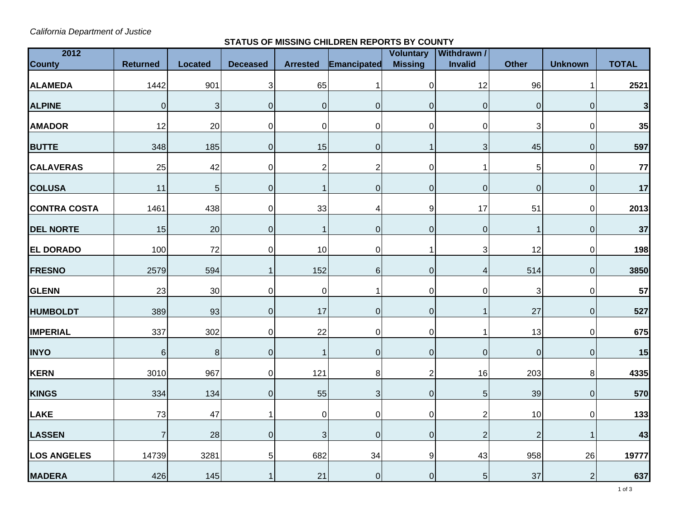*California Department of Justice* 

## **STATUS OF MISSING CHILDREN REPORTS BY COUNTY**

| 2012                |                 |                  |                           |                 |                | <b>Voluntary</b> | <b>Withdrawn /</b> |                |                  |              |
|---------------------|-----------------|------------------|---------------------------|-----------------|----------------|------------------|--------------------|----------------|------------------|--------------|
| <b>County</b>       | <b>Returned</b> | <b>Located</b>   | <b>Deceased</b>           | <b>Arrested</b> | Emancipated    | <b>Missing</b>   | <b>Invalid</b>     | <b>Other</b>   | <b>Unknown</b>   | <b>TOTAL</b> |
| <b>ALAMEDA</b>      | 1442            | 901              | $\ensuremath{\mathsf{3}}$ | 65              | $\mathbf{1}$   | $\pmb{0}$        | 12                 | 96             | 1                | 2521         |
| <b>ALPINE</b>       | $\pmb{0}$       | 3                | $\pmb{0}$                 | $\mathbf 0$     | $\mathbf 0$    | $\overline{0}$   | $\overline{0}$     | $\pmb{0}$      | $\boldsymbol{0}$ | 3            |
| <b>AMADOR</b>       | 12              | 20               | $\pmb{0}$                 | $\pmb{0}$       | $\mathbf 0$    | $\pmb{0}$        | $\overline{0}$     | 3              | $\mathbf 0$      | 35           |
| <b>BUTTE</b>        | 348             | 185              | $\pmb{0}$                 | 15              | 0              | $\mathbf{1}$     | 3                  | 45             | $\mathbf 0$      | 597          |
| <b>CALAVERAS</b>    | 25              | 42               | $\pmb{0}$                 | $\overline{2}$  | $\overline{c}$ | $\pmb{0}$        | 1                  | 5              | $\mathbf 0$      | 77           |
| <b>COLUSA</b>       | 11              | 5                | $\pmb{0}$                 | $\mathbf{1}$    | 0              | $\pmb{0}$        | $\overline{0}$     | $\overline{0}$ | $\mathbf 0$      | 17           |
| <b>CONTRA COSTA</b> | 1461            | 438              | $\mathbf 0$               | 33              | 4              | 9                | 17                 | 51             | $\mathbf 0$      | 2013         |
| <b>DEL NORTE</b>    | 15              | 20               | $\pmb{0}$                 | $\mathbf{1}$    | 0              | $\pmb{0}$        | $\overline{0}$     |                | $\boldsymbol{0}$ | 37           |
| <b>EL DORADO</b>    | 100             | 72               | $\pmb{0}$                 | 10              | 0              | $\mathbf{1}$     | 3                  | 12             | $\pmb{0}$        | 198          |
| <b>FRESNO</b>       | 2579            | 594              | $\mathbf{1}$              | 152             | 6              | $\pmb{0}$        | 4                  | 514            | $\pmb{0}$        | 3850         |
| <b>GLENN</b>        | 23              | 30               | $\pmb{0}$                 | $\pmb{0}$       | $\mathbf{1}$   | $\pmb{0}$        | $\overline{0}$     | 3              | $\pmb{0}$        | 57           |
| <b>HUMBOLDT</b>     | 389             | 93               | $\pmb{0}$                 | 17              | 0              | $\pmb{0}$        | 1                  | 27             | $\pmb{0}$        | 527          |
| <b>IMPERIAL</b>     | 337             | 302              | $\pmb{0}$                 | 22              | $\mathbf 0$    | $\pmb{0}$        | 1                  | 13             | $\pmb{0}$        | 675          |
| <b>INYO</b>         | $\,$ 6 $\,$     | $\boldsymbol{8}$ | $\pmb{0}$                 | $\mathbf{1}$    | $\mathbf 0$    | $\pmb{0}$        | $\overline{0}$     | $\overline{0}$ | $\pmb{0}$        | 15           |
| KERN                | 3010            | 967              | $\pmb{0}$                 | 121             | $\,8\,$        | $\overline{2}$   | 16                 | 203            | 8                | 4335         |
| <b>KINGS</b>        | 334             | 134              | $\pmb{0}$                 | 55              | 3              | $\pmb{0}$        | 5 <sub>5</sub>     | 39             | $\mathbf 0$      | 570          |
| LAKE                | 73              | 47               | 1                         | $\mathbf 0$     | $\mathbf 0$    | $\pmb{0}$        | $\overline{2}$     | 10             | $\mathbf 0$      | 133          |
| <b>LASSEN</b>       | $\overline{7}$  | 28               | $\overline{0}$            | $\mathbf{3}$    | $\mathbf 0$    | $\boldsymbol{0}$ | $\overline{2}$     | $\overline{2}$ | $\overline{1}$   | 43           |
| <b>LOS ANGELES</b>  | 14739           | 3281             | $\overline{5}$            | 682             | 34             | $\boldsymbol{9}$ | 43                 | 958            | 26               | 19777        |
| <b>MADERA</b>       | 426             | 145              | $\mathbf 1$               | 21              | $\pmb{0}$      | $\pmb{0}$        | 5 <sub>5</sub>     | 37             | $\overline{c}$   | 637          |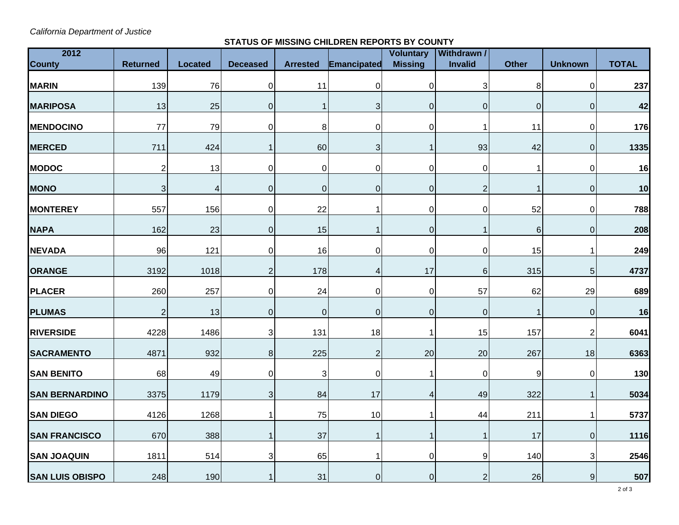*California Department of Justice* 

## **STATUS OF MISSING CHILDREN REPORTS BY COUNTY**

| 2012                   |                 |                |                 |                 |                  | <b>Voluntary</b> | <b>Withdrawn /</b> |              |                |              |
|------------------------|-----------------|----------------|-----------------|-----------------|------------------|------------------|--------------------|--------------|----------------|--------------|
| <b>County</b>          | <b>Returned</b> | <b>Located</b> | <b>Deceased</b> | <b>Arrested</b> | Emancipated      | <b>Missing</b>   | <b>Invalid</b>     | <b>Other</b> | <b>Unknown</b> | <b>TOTAL</b> |
| <b>MARIN</b>           | 139             | 76             | $\overline{0}$  | 11              | $\mathbf 0$      | $\pmb{0}$        | 3                  | 8            | $\overline{0}$ | 237          |
| <b>MARIPOSA</b>        | 13              | 25             | $\overline{0}$  | 1               | 3                | $\pmb{0}$        | $\mathbf{0}$       | $\mathbf 0$  | $\mathbf 0$    | 42           |
| <b>MENDOCINO</b>       | 77              | 79             | $\overline{0}$  | 8               | 0                | $\pmb{0}$        |                    | 11           | 0              | 176          |
| <b>MERCED</b>          | 711             | 424            | $\mathbf 1$     | 60              | 3                | $\mathbf{1}$     | 93                 | 42           | $\overline{0}$ | 1335         |
| <b>MODOC</b>           | $\overline{2}$  | 13             | $\overline{0}$  | $\mathbf 0$     | 0                | $\pmb{0}$        | 0                  | 1            | $\overline{0}$ | 16           |
| <b>MONO</b>            | 3               | $\overline{4}$ | $\overline{0}$  | $\mathbf 0$     | 0                | $\pmb{0}$        | $\overline{2}$     | 1            | $\overline{0}$ | 10           |
| <b>MONTEREY</b>        | 557             | 156            | $\overline{0}$  | 22              | 1                | $\pmb{0}$        | 0                  | 52           | $\overline{0}$ | 788          |
| <b>NAPA</b>            | 162             | 23             | $\overline{0}$  | 15              | $\mathbf{1}$     | $\mathbf 0$      |                    | 6            | $\overline{0}$ | 208          |
| <b>NEVADA</b>          | 96              | 121            | $\overline{0}$  | 16              | 0                | $\mathbf 0$      | 0                  | 15           | 1              | 249          |
| <b>ORANGE</b>          | 3192            | 1018           | $\mathbf{2}$    | 178             | 4                | 17               | $6\phantom{1}$     | 315          | $\sqrt{5}$     | 4737         |
| <b>PLACER</b>          | 260             | 257            | $\overline{0}$  | 24              | 0                | $\pmb{0}$        | 57                 | 62           | 29             | 689          |
| <b>PLUMAS</b>          | $\overline{c}$  | 13             | $\overline{0}$  | $\mathbf 0$     | $\boldsymbol{0}$ | $\pmb{0}$        | $\mathbf 0$        | 1            | $\overline{0}$ | 16           |
| <b>RIVERSIDE</b>       | 4228            | 1486           | $\mathfrak{S}$  | 131             | 18               | 1                | 15                 | 157          | $\overline{2}$ | 6041         |
| <b>SACRAMENTO</b>      | 4871            | 932            | 8               | 225             | $\overline{c}$   | 20               | 20                 | 267          | 18             | 6363         |
| <b>SAN BENITO</b>      | 68              | 49             | $\overline{0}$  | 3               | 0                | $\mathbf{1}$     | 0                  | 9            | $\mathbf 0$    | 130          |
| <b>SAN BERNARDINO</b>  | 3375            | 1179           | 3 <sup>1</sup>  | 84              | 17               | 4                | 49                 | 322          | 1              | 5034         |
| <b>SAN DIEGO</b>       | 4126            | 1268           | $\overline{1}$  | 75              | 10               | $\mathbf{1}$     | 44                 | 211          |                | 5737         |
| <b>SAN FRANCISCO</b>   | 670             | 388            | $\mathbf{1}$    | 37              | $\mathbf{1}$     | $\mathbf{1}$     |                    | 17           | $\overline{0}$ | 1116         |
| <b>SAN JOAQUIN</b>     | 1811            | 514            | $\overline{3}$  | 65              | 1                | $\pmb{0}$        | 9                  | 140          | 3 <sup>1</sup> | 2546         |
| <b>SAN LUIS OBISPO</b> | 248             | 190            | $\mathbf{1}$    | 31              | 0                | $\overline{O}$   | 2                  | 26           | $\overline{9}$ | 507          |